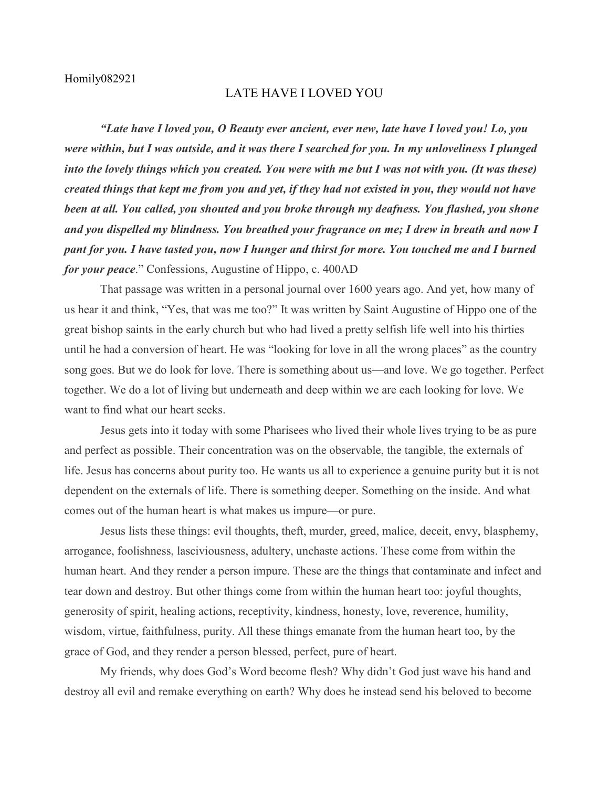## Homily082921

## LATE HAVE I LOVED YOU

*"Late have I loved you, O Beauty ever ancient, ever new, late have I loved you! Lo, you were within, but I was outside, and it was there I searched for you. In my unloveliness I plunged into the lovely things which you created. You were with me but I was not with you. (It was these) created things that kept me from you and yet, if they had not existed in you, they would not have been at all. You called, you shouted and you broke through my deafness. You flashed, you shone and you dispelled my blindness. You breathed your fragrance on me; I drew in breath and now I pant for you. I have tasted you, now I hunger and thirst for more. You touched me and I burned for your peace*." Confessions, Augustine of Hippo, c. 400AD

That passage was written in a personal journal over 1600 years ago. And yet, how many of us hear it and think, "Yes, that was me too?" It was written by Saint Augustine of Hippo one of the great bishop saints in the early church but who had lived a pretty selfish life well into his thirties until he had a conversion of heart. He was "looking for love in all the wrong places" as the country song goes. But we do look for love. There is something about us—and love. We go together. Perfect together. We do a lot of living but underneath and deep within we are each looking for love. We want to find what our heart seeks.

Jesus gets into it today with some Pharisees who lived their whole lives trying to be as pure and perfect as possible. Their concentration was on the observable, the tangible, the externals of life. Jesus has concerns about purity too. He wants us all to experience a genuine purity but it is not dependent on the externals of life. There is something deeper. Something on the inside. And what comes out of the human heart is what makes us impure—or pure.

Jesus lists these things: evil thoughts, theft, murder, greed, malice, deceit, envy, blasphemy, arrogance, foolishness, lasciviousness, adultery, unchaste actions. These come from within the human heart. And they render a person impure. These are the things that contaminate and infect and tear down and destroy. But other things come from within the human heart too: joyful thoughts, generosity of spirit, healing actions, receptivity, kindness, honesty, love, reverence, humility, wisdom, virtue, faithfulness, purity. All these things emanate from the human heart too, by the grace of God, and they render a person blessed, perfect, pure of heart.

My friends, why does God's Word become flesh? Why didn't God just wave his hand and destroy all evil and remake everything on earth? Why does he instead send his beloved to become